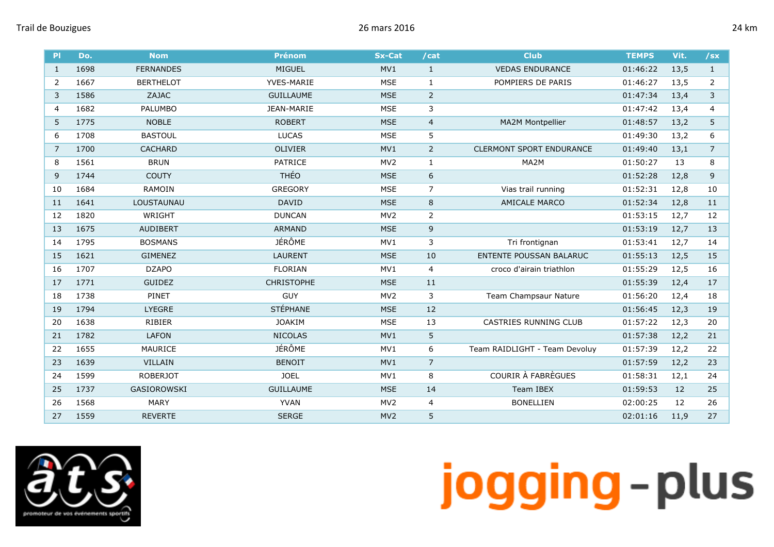| PI             | Do.  | <b>Nom</b>       | <b>Prénom</b>     | <b>Sx-Cat</b>   | /cat           | <b>Club</b>                     | <b>TEMPS</b> | Vit. | /sx            |
|----------------|------|------------------|-------------------|-----------------|----------------|---------------------------------|--------------|------|----------------|
| $\mathbf{1}$   | 1698 | <b>FERNANDES</b> | <b>MIGUEL</b>     | MV1             | $\mathbf{1}$   | <b>VEDAS ENDURANCE</b>          | 01:46:22     | 13,5 | $\mathbf{1}$   |
| 2              | 1667 | <b>BERTHELOT</b> | <b>YVES-MARIE</b> | <b>MSE</b>      | 1              | POMPIERS DE PARIS               | 01:46:27     | 13,5 | 2              |
| 3              | 1586 | ZAJAC            | <b>GUILLAUME</b>  | <b>MSE</b>      | $\overline{2}$ |                                 | 01:47:34     | 13,4 | 3              |
| $\overline{4}$ | 1682 | <b>PALUMBO</b>   | JEAN-MARIE        | <b>MSE</b>      | 3              |                                 | 01:47:42     | 13,4 | 4              |
| 5              | 1775 | <b>NOBLE</b>     | <b>ROBERT</b>     | <b>MSE</b>      | $\overline{4}$ | <b>MA2M Montpellier</b>         | 01:48:57     | 13,2 | 5              |
| 6              | 1708 | <b>BASTOUL</b>   | <b>LUCAS</b>      | MSE             | 5              |                                 | 01:49:30     | 13,2 | 6              |
| 7              | 1700 | <b>CACHARD</b>   | <b>OLIVIER</b>    | MV1             | $\overline{2}$ | <b>CLERMONT SPORT ENDURANCE</b> | 01:49:40     | 13,1 | $\overline{7}$ |
| 8              | 1561 | <b>BRUN</b>      | <b>PATRICE</b>    | MV <sub>2</sub> | $\mathbf{1}$   | MA2M                            | 01:50:27     | 13   | 8              |
| 9              | 1744 | <b>COUTY</b>     | <b>THÉO</b>       | <b>MSE</b>      | 6              |                                 | 01:52:28     | 12,8 | 9              |
| 10             | 1684 | <b>RAMOIN</b>    | <b>GREGORY</b>    | <b>MSE</b>      | $\overline{7}$ | Vias trail running              | 01:52:31     | 12,8 | 10             |
| 11             | 1641 | LOUSTAUNAU       | <b>DAVID</b>      | <b>MSE</b>      | 8              | <b>AMICALE MARCO</b>            | 01:52:34     | 12,8 | 11             |
| 12             | 1820 | WRIGHT           | <b>DUNCAN</b>     | MV <sub>2</sub> | $\overline{2}$ |                                 | 01:53:15     | 12,7 | 12             |
| 13             | 1675 | <b>AUDIBERT</b>  | <b>ARMAND</b>     | <b>MSE</b>      | $\mathsf 9$    |                                 | 01:53:19     | 12,7 | 13             |
| 14             | 1795 | <b>BOSMANS</b>   | JÉRÔME            | MV1             | 3              | Tri frontignan                  | 01:53:41     | 12,7 | 14             |
| 15             | 1621 | <b>GIMENEZ</b>   | <b>LAURENT</b>    | <b>MSE</b>      | 10             | <b>ENTENTE POUSSAN BALARUC</b>  | 01:55:13     | 12,5 | 15             |
| 16             | 1707 | <b>DZAPO</b>     | <b>FLORIAN</b>    | MV1             | $\overline{4}$ | croco d'airain triathlon        | 01:55:29     | 12,5 | 16             |
| 17             | 1771 | <b>GUIDEZ</b>    | <b>CHRISTOPHE</b> | <b>MSE</b>      | 11             |                                 | 01:55:39     | 12,4 | 17             |
| 18             | 1738 | PINET            | <b>GUY</b>        | MV <sub>2</sub> | 3              | Team Champsaur Nature           | 01:56:20     | 12,4 | 18             |
| 19             | 1794 | <b>LYEGRE</b>    | <b>STÉPHANE</b>   | <b>MSE</b>      | 12             |                                 | 01:56:45     | 12,3 | 19             |
| 20             | 1638 | <b>RIBIER</b>    | <b>JOAKIM</b>     | <b>MSE</b>      | 13             | <b>CASTRIES RUNNING CLUB</b>    | 01:57:22     | 12,3 | 20             |
| 21             | 1782 | <b>LAFON</b>     | <b>NICOLAS</b>    | MV1             | 5              |                                 | 01:57:38     | 12,2 | 21             |
| 22             | 1655 | MAURICE          | <b>JÉRÔME</b>     | MV1             | 6              | Team RAIDLIGHT - Team Devoluy   | 01:57:39     | 12,2 | 22             |
| 23             | 1639 | <b>VILLAIN</b>   | <b>BENOIT</b>     | MV1             | $\overline{7}$ |                                 | 01:57:59     | 12,2 | 23             |
| 24             | 1599 | <b>ROBERJOT</b>  | <b>JOEL</b>       | MV1             | 8              | COURIR À FABRÈGUES              | 01:58:31     | 12,1 | 24             |
| 25             | 1737 | GASIOROWSKI      | <b>GUILLAUME</b>  | <b>MSE</b>      | 14             | Team IBEX                       | 01:59:53     | 12   | 25             |
| 26             | 1568 | <b>MARY</b>      | <b>YVAN</b>       | MV <sub>2</sub> | 4              | <b>BONELLIEN</b>                | 02:00:25     | 12   | 26             |
| 27             | 1559 | <b>REVERTE</b>   | <b>SERGE</b>      | MV <sub>2</sub> | 5              |                                 | 02:01:16     | 11,9 | 27             |

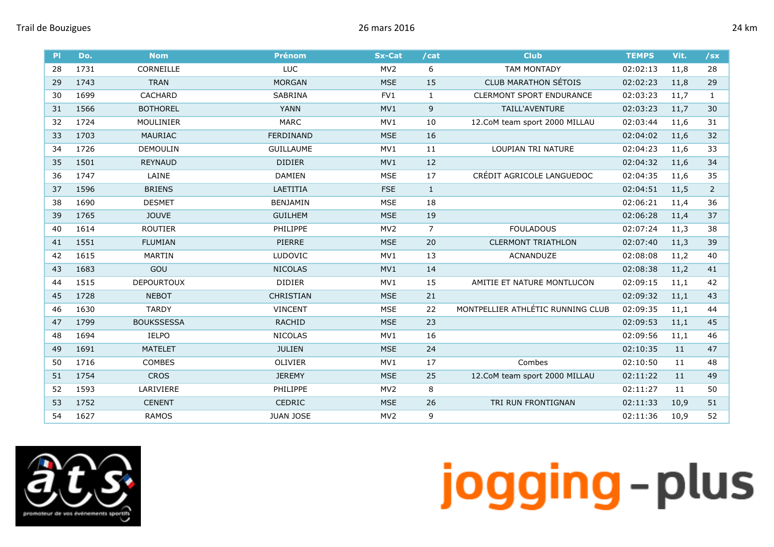| PI | Do.  | <b>Nom</b>        | <b>Prénom</b>    | <b>Sx-Cat</b>   | /cat           | <b>Club</b>                       | <b>TEMPS</b> | Vit. | $/$ sx       |
|----|------|-------------------|------------------|-----------------|----------------|-----------------------------------|--------------|------|--------------|
| 28 | 1731 | CORNEILLE         | <b>LUC</b>       | MV <sub>2</sub> | 6              | <b>TAM MONTADY</b>                | 02:02:13     | 11,8 | 28           |
| 29 | 1743 | <b>TRAN</b>       | <b>MORGAN</b>    | <b>MSE</b>      | 15             | <b>CLUB MARATHON SÉTOIS</b>       | 02:02:23     | 11,8 | 29           |
| 30 | 1699 | <b>CACHARD</b>    | <b>SABRINA</b>   | FV1             | $\mathbf{1}$   | <b>CLERMONT SPORT ENDURANCE</b>   | 02:03:23     | 11,7 | $\mathbf{1}$ |
| 31 | 1566 | <b>BOTHOREL</b>   | <b>YANN</b>      | MV1             | 9              | TAILL'AVENTURE                    | 02:03:23     | 11,7 | 30           |
| 32 | 1724 | MOULINIER         | <b>MARC</b>      | MV1             | 10             | 12.CoM team sport 2000 MILLAU     | 02:03:44     | 11,6 | 31           |
| 33 | 1703 | <b>MAURIAC</b>    | FERDINAND        | <b>MSE</b>      | 16             |                                   | 02:04:02     | 11,6 | 32           |
| 34 | 1726 | <b>DEMOULIN</b>   | <b>GUILLAUME</b> | MV1             | 11             | LOUPIAN TRI NATURE                | 02:04:23     | 11,6 | 33           |
| 35 | 1501 | <b>REYNAUD</b>    | <b>DIDIER</b>    | MV1             | 12             |                                   | 02:04:32     | 11,6 | 34           |
| 36 | 1747 | LAINE             | <b>DAMIEN</b>    | <b>MSE</b>      | 17             | CRÉDIT AGRICOLE LANGUEDOC         | 02:04:35     | 11,6 | 35           |
| 37 | 1596 | <b>BRIENS</b>     | LAETITIA         | <b>FSE</b>      | $\mathbf{1}$   |                                   | 02:04:51     | 11,5 | 2            |
| 38 | 1690 | <b>DESMET</b>     | <b>BENJAMIN</b>  | <b>MSE</b>      | 18             |                                   | 02:06:21     | 11,4 | 36           |
| 39 | 1765 | <b>JOUVE</b>      | <b>GUILHEM</b>   | <b>MSE</b>      | 19             |                                   | 02:06:28     | 11,4 | 37           |
| 40 | 1614 | <b>ROUTIER</b>    | PHILIPPE         | MV <sub>2</sub> | $\overline{7}$ | <b>FOULADOUS</b>                  | 02:07:24     | 11,3 | 38           |
| 41 | 1551 | <b>FLUMIAN</b>    | PIERRE           | <b>MSE</b>      | 20             | <b>CLERMONT TRIATHLON</b>         | 02:07:40     | 11,3 | 39           |
| 42 | 1615 | <b>MARTIN</b>     | <b>LUDOVIC</b>   | MV1             | 13             | ACNANDUZE                         | 02:08:08     | 11,2 | 40           |
| 43 | 1683 | GOU               | <b>NICOLAS</b>   | MV1             | 14             |                                   | 02:08:38     | 11,2 | 41           |
| 44 | 1515 | <b>DEPOURTOUX</b> | <b>DIDIER</b>    | MV1             | 15             | AMITIE ET NATURE MONTLUCON        | 02:09:15     | 11,1 | 42           |
| 45 | 1728 | <b>NEBOT</b>      | <b>CHRISTIAN</b> | <b>MSE</b>      | 21             |                                   | 02:09:32     | 11,1 | 43           |
| 46 | 1630 | <b>TARDY</b>      | <b>VINCENT</b>   | <b>MSE</b>      | 22             | MONTPELLIER ATHLÉTIC RUNNING CLUB | 02:09:35     | 11,1 | 44           |
| 47 | 1799 | <b>BOUKSSESSA</b> | <b>RACHID</b>    | <b>MSE</b>      | 23             |                                   | 02:09:53     | 11,1 | 45           |
| 48 | 1694 | <b>IELPO</b>      | <b>NICOLAS</b>   | MV1             | 16             |                                   | 02:09:56     | 11,1 | 46           |
| 49 | 1691 | <b>MATELET</b>    | <b>JULIEN</b>    | <b>MSE</b>      | 24             |                                   | 02:10:35     | 11   | 47           |
| 50 | 1716 | <b>COMBES</b>     | <b>OLIVIER</b>   | MV1             | 17             | Combes                            | 02:10:50     | 11   | 48           |
| 51 | 1754 | <b>CROS</b>       | <b>JEREMY</b>    | <b>MSE</b>      | 25             | 12.CoM team sport 2000 MILLAU     | 02:11:22     | 11   | 49           |
| 52 | 1593 | LARIVIERE         | <b>PHILIPPE</b>  | MV <sub>2</sub> | 8              |                                   | 02:11:27     | 11   | 50           |
| 53 | 1752 | <b>CENENT</b>     | <b>CEDRIC</b>    | <b>MSE</b>      | 26             | TRI RUN FRONTIGNAN                | 02:11:33     | 10,9 | 51           |
| 54 | 1627 | <b>RAMOS</b>      | <b>JUAN JOSE</b> | MV <sub>2</sub> | 9              |                                   | 02:11:36     | 10,9 | 52           |

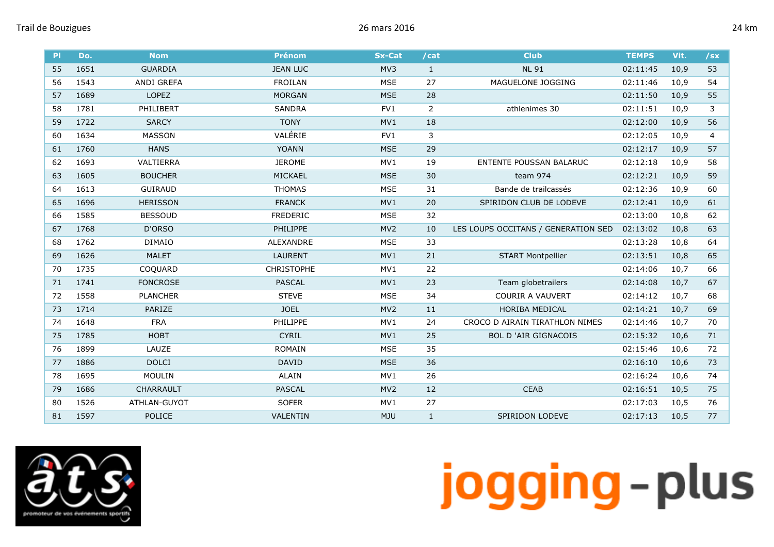| .T<br>ш |
|---------|
|---------|

| PI | Do.  | <b>Nom</b>        | <b>Prénom</b>     | <b>Sx-Cat</b>   | /cat           | <b>Club</b>                         | <b>TEMPS</b> | Vit. | $/$ sx |
|----|------|-------------------|-------------------|-----------------|----------------|-------------------------------------|--------------|------|--------|
| 55 | 1651 | <b>GUARDIA</b>    | <b>JEAN LUC</b>   | MV3             | $\mathbf{1}$   | <b>NL 91</b>                        | 02:11:45     | 10,9 | 53     |
| 56 | 1543 | <b>ANDI GREFA</b> | <b>FROILAN</b>    | <b>MSE</b>      | 27             | MAGUELONE JOGGING                   | 02:11:46     | 10,9 | 54     |
| 57 | 1689 | <b>LOPEZ</b>      | <b>MORGAN</b>     | <b>MSE</b>      | 28             |                                     | 02:11:50     | 10,9 | 55     |
| 58 | 1781 | PHILIBERT         | <b>SANDRA</b>     | FV1             | $\overline{2}$ | athlenimes 30                       | 02:11:51     | 10,9 | 3      |
| 59 | 1722 | <b>SARCY</b>      | <b>TONY</b>       | MV1             | 18             |                                     | 02:12:00     | 10,9 | 56     |
| 60 | 1634 | <b>MASSON</b>     | VALÉRIE           | FV1             | 3              |                                     | 02:12:05     | 10,9 | 4      |
| 61 | 1760 | <b>HANS</b>       | <b>YOANN</b>      | <b>MSE</b>      | 29             |                                     | 02:12:17     | 10,9 | 57     |
| 62 | 1693 | VALTIERRA         | <b>JEROME</b>     | MV1             | 19             | <b>ENTENTE POUSSAN BALARUC</b>      | 02:12:18     | 10,9 | 58     |
| 63 | 1605 | <b>BOUCHER</b>    | MICKAEL           | <b>MSE</b>      | 30             | team 974                            | 02:12:21     | 10,9 | 59     |
| 64 | 1613 | <b>GUIRAUD</b>    | <b>THOMAS</b>     | <b>MSE</b>      | 31             | Bande de trailcassés                | 02:12:36     | 10,9 | 60     |
| 65 | 1696 | <b>HERISSON</b>   | <b>FRANCK</b>     | MV1             | 20             | SPIRIDON CLUB DE LODEVE             | 02:12:41     | 10,9 | 61     |
| 66 | 1585 | <b>BESSOUD</b>    | <b>FREDERIC</b>   | <b>MSE</b>      | 32             |                                     | 02:13:00     | 10,8 | 62     |
| 67 | 1768 | D'ORSO            | PHILIPPE          | MV <sub>2</sub> | 10             | LES LOUPS OCCITANS / GENERATION SED | 02:13:02     | 10,8 | 63     |
| 68 | 1762 | <b>DIMAIO</b>     | <b>ALEXANDRE</b>  | <b>MSE</b>      | 33             |                                     | 02:13:28     | 10,8 | 64     |
| 69 | 1626 | <b>MALET</b>      | <b>LAURENT</b>    | MV1             | 21             | <b>START Montpellier</b>            | 02:13:51     | 10,8 | 65     |
| 70 | 1735 | COQUARD           | <b>CHRISTOPHE</b> | MV1             | 22             |                                     | 02:14:06     | 10,7 | 66     |
| 71 | 1741 | <b>FONCROSE</b>   | <b>PASCAL</b>     | MV1             | 23             | Team globetrailers                  | 02:14:08     | 10,7 | 67     |
| 72 | 1558 | <b>PLANCHER</b>   | <b>STEVE</b>      | <b>MSE</b>      | 34             | <b>COURIR A VAUVERT</b>             | 02:14:12     | 10,7 | 68     |
| 73 | 1714 | PARIZE            | <b>JOEL</b>       | MV <sub>2</sub> | 11             | HORIBA MEDICAL                      | 02:14:21     | 10,7 | 69     |
| 74 | 1648 | <b>FRA</b>        | <b>PHILIPPE</b>   | MV1             | 24             | CROCO D AIRAIN TIRATHLON NIMES      | 02:14:46     | 10.7 | 70     |
| 75 | 1785 | <b>HOBT</b>       | <b>CYRIL</b>      | MV1             | 25             | <b>BOL D'AIR GIGNACOIS</b>          | 02:15:32     | 10,6 | 71     |
| 76 | 1899 | LAUZE             | <b>ROMAIN</b>     | <b>MSE</b>      | 35             |                                     | 02:15:46     | 10,6 | 72     |
| 77 | 1886 | <b>DOLCI</b>      | <b>DAVID</b>      | <b>MSE</b>      | 36             |                                     | 02:16:10     | 10,6 | 73     |
| 78 | 1695 | <b>MOULIN</b>     | <b>ALAIN</b>      | MV1             | 26             |                                     | 02:16:24     | 10,6 | 74     |
| 79 | 1686 | <b>CHARRAULT</b>  | <b>PASCAL</b>     | MV <sub>2</sub> | 12             | <b>CEAB</b>                         | 02:16:51     | 10,5 | 75     |
| 80 | 1526 | ATHLAN-GUYOT      | <b>SOFER</b>      | MV1             | 27             |                                     | 02:17:03     | 10,5 | 76     |
| 81 | 1597 | <b>POLICE</b>     | VALENTIN          | <b>MJU</b>      | $\mathbf{1}$   | SPIRIDON LODEVE                     | 02:17:13     | 10,5 | 77     |

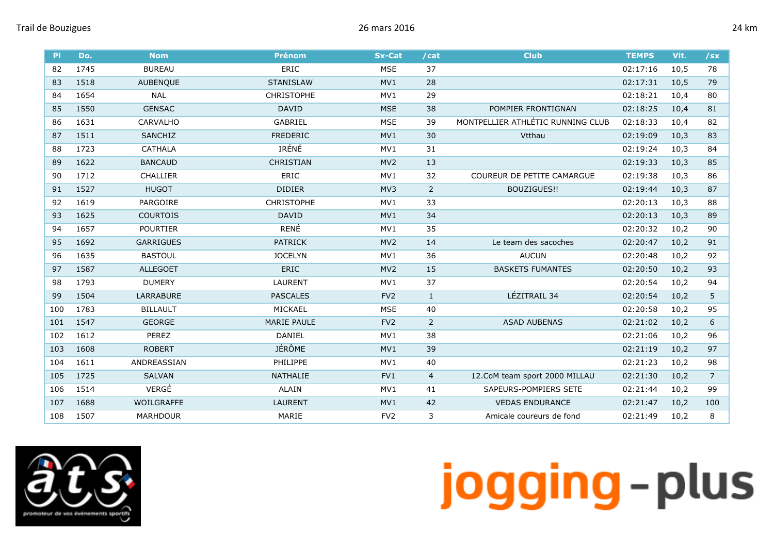| PI  | Do.  | <b>Nom</b>        | <b>Prénom</b>      | <b>Sx-Cat</b>   | /cat           | <b>Club</b>                       | <b>TEMPS</b> | Vit. | /sx            |
|-----|------|-------------------|--------------------|-----------------|----------------|-----------------------------------|--------------|------|----------------|
| 82  | 1745 | <b>BUREAU</b>     | <b>ERIC</b>        | <b>MSE</b>      | 37             |                                   | 02:17:16     | 10,5 | 78             |
| 83  | 1518 | <b>AUBENOUE</b>   | <b>STANISLAW</b>   | MV1             | 28             |                                   | 02:17:31     | 10,5 | 79             |
| 84  | 1654 | <b>NAL</b>        | <b>CHRISTOPHE</b>  | MV1             | 29             |                                   | 02:18:21     | 10,4 | 80             |
| 85  | 1550 | <b>GENSAC</b>     | <b>DAVID</b>       | <b>MSE</b>      | 38             | POMPIER FRONTIGNAN                | 02:18:25     | 10,4 | 81             |
| 86  | 1631 | CARVALHO          | <b>GABRIEL</b>     | <b>MSE</b>      | 39             | MONTPELLIER ATHLÉTIC RUNNING CLUB | 02:18:33     | 10,4 | 82             |
| 87  | 1511 | <b>SANCHIZ</b>    | <b>FREDERIC</b>    | MV1             | 30             | Vtthau                            | 02:19:09     | 10,3 | 83             |
| 88  | 1723 | <b>CATHALA</b>    | IRÉNÉ              | MV1             | 31             |                                   | 02:19:24     | 10,3 | 84             |
| 89  | 1622 | <b>BANCAUD</b>    | <b>CHRISTIAN</b>   | MV <sub>2</sub> | 13             |                                   | 02:19:33     | 10,3 | 85             |
| 90  | 1712 | <b>CHALLIER</b>   | ERIC               | MV1             | 32             | <b>COUREUR DE PETITE CAMARGUE</b> | 02:19:38     | 10,3 | 86             |
| 91  | 1527 | <b>HUGOT</b>      | <b>DIDIER</b>      | MV3             | $\overline{2}$ | BOUZIGUES!!                       | 02:19:44     | 10,3 | 87             |
| 92  | 1619 | PARGOIRE          | <b>CHRISTOPHE</b>  | MV1             | 33             |                                   | 02:20:13     | 10,3 | 88             |
| 93  | 1625 | <b>COURTOIS</b>   | <b>DAVID</b>       | MV1             | 34             |                                   | 02:20:13     | 10,3 | 89             |
| 94  | 1657 | <b>POURTIER</b>   | RENÉ               | MV1             | 35             |                                   | 02:20:32     | 10,2 | 90             |
| 95  | 1692 | <b>GARRIGUES</b>  | <b>PATRICK</b>     | MV <sub>2</sub> | 14             | Le team des sacoches              | 02:20:47     | 10,2 | 91             |
| 96  | 1635 | <b>BASTOUL</b>    | <b>JOCELYN</b>     | MV1             | 36             | <b>AUCUN</b>                      | 02:20:48     | 10,2 | 92             |
| 97  | 1587 | <b>ALLEGOET</b>   | <b>ERIC</b>        | MV <sub>2</sub> | 15             | <b>BASKETS FUMANTES</b>           | 02:20:50     | 10,2 | 93             |
| 98  | 1793 | <b>DUMERY</b>     | LAURENT            | MV1             | 37             |                                   | 02:20:54     | 10,2 | 94             |
| 99  | 1504 | LARRABURE         | <b>PASCALES</b>    | FV <sub>2</sub> | $\mathbf{1}$   | LÉZITRAIL 34                      | 02:20:54     | 10,2 | 5              |
| 100 | 1783 | <b>BILLAULT</b>   | MICKAEL            | <b>MSE</b>      | 40             |                                   | 02:20:58     | 10,2 | 95             |
| 101 | 1547 | <b>GEORGE</b>     | <b>MARIE PAULE</b> | FV <sub>2</sub> | $\overline{2}$ | <b>ASAD AUBENAS</b>               | 02:21:02     | 10,2 | 6              |
| 102 | 1612 | <b>PEREZ</b>      | <b>DANIEL</b>      | MV1             | 38             |                                   | 02:21:06     | 10,2 | 96             |
| 103 | 1608 | <b>ROBERT</b>     | <b>JÉRÔME</b>      | MV1             | 39             |                                   | 02:21:19     | 10,2 | 97             |
| 104 | 1611 | ANDREASSIAN       | <b>PHILIPPE</b>    | MV1             | 40             |                                   | 02:21:23     | 10,2 | 98             |
| 105 | 1725 | <b>SALVAN</b>     | <b>NATHALIE</b>    | FV <sub>1</sub> | 4              | 12.CoM team sport 2000 MILLAU     | 02:21:30     | 10,2 | $\overline{7}$ |
| 106 | 1514 | VERGÉ             | <b>ALAIN</b>       | MV1             | 41             | SAPEURS-POMPIERS SETE             | 02:21:44     | 10,2 | 99             |
| 107 | 1688 | <b>WOILGRAFFE</b> | <b>LAURENT</b>     | MV1             | 42             | <b>VEDAS ENDURANCE</b>            | 02:21:47     | 10,2 | 100            |
| 108 | 1507 | <b>MARHDOUR</b>   | MARIE              | FV <sub>2</sub> | 3              | Amicale coureurs de fond          | 02:21:49     | 10,2 | 8              |

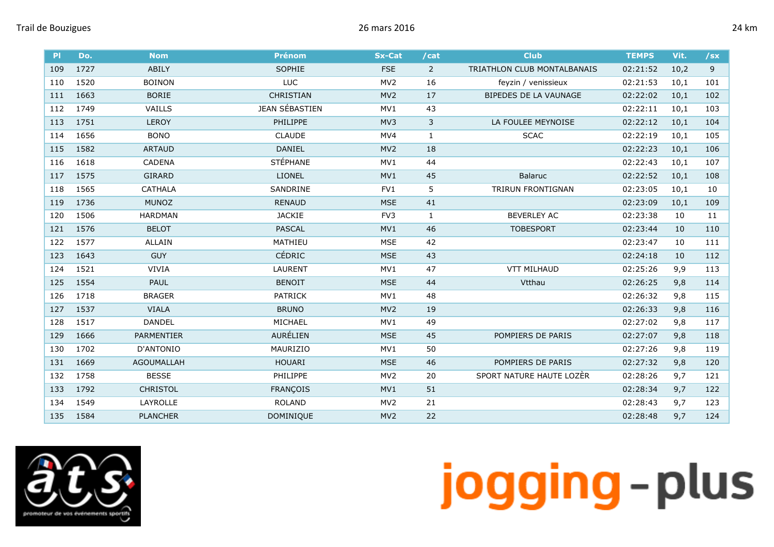| <b>PI</b> | Do.  | <b>Nom</b>        | <b>Prénom</b>    | <b>Sx-Cat</b>   | /cat           | <b>Club</b>                  | <b>TEMPS</b> | Vit. | $/$ sx |
|-----------|------|-------------------|------------------|-----------------|----------------|------------------------------|--------------|------|--------|
| 109       | 1727 | ABILY             | SOPHIE           | <b>FSE</b>      | $\overline{2}$ | TRIATHLON CLUB MONTALBANAIS  | 02:21:52     | 10,2 | 9      |
| 110       | 1520 | <b>BOINON</b>     | LUC              | MV <sub>2</sub> | 16             | feyzin / venissieux          | 02:21:53     | 10,1 | 101    |
| 111       | 1663 | <b>BORIE</b>      | <b>CHRISTIAN</b> | MV <sub>2</sub> | 17             | <b>BIPEDES DE LA VAUNAGE</b> | 02:22:02     | 10,1 | 102    |
| 112       | 1749 | <b>VAILLS</b>     | JEAN SÉBASTIEN   | MV1             | 43             |                              | 02:22:11     | 10,1 | 103    |
| 113       | 1751 | <b>LEROY</b>      | PHILIPPE         | MV3             | 3              | LA FOULEE MEYNOISE           | 02:22:12     | 10,1 | 104    |
| 114       | 1656 | <b>BONO</b>       | <b>CLAUDE</b>    | MV4             | $\mathbf{1}$   | <b>SCAC</b>                  | 02:22:19     | 10,1 | 105    |
| 115       | 1582 | <b>ARTAUD</b>     | <b>DANIEL</b>    | MV <sub>2</sub> | 18             |                              | 02:22:23     | 10,1 | 106    |
| 116       | 1618 | <b>CADENA</b>     | <b>STÉPHANE</b>  | MV1             | 44             |                              | 02:22:43     | 10,1 | 107    |
| 117       | 1575 | <b>GIRARD</b>     | <b>LIONEL</b>    | MV1             | 45             | <b>Balaruc</b>               | 02:22:52     | 10,1 | 108    |
| 118       | 1565 | <b>CATHALA</b>    | SANDRINE         | FV <sub>1</sub> | 5              | <b>TRIRUN FRONTIGNAN</b>     | 02:23:05     | 10,1 | 10     |
| 119       | 1736 | <b>MUNOZ</b>      | <b>RENAUD</b>    | <b>MSE</b>      | 41             |                              | 02:23:09     | 10,1 | 109    |
| 120       | 1506 | <b>HARDMAN</b>    | <b>JACKIE</b>    | FV3             | $\mathbf{1}$   | <b>BEVERLEY AC</b>           | 02:23:38     | 10   | 11     |
| 121       | 1576 | <b>BELOT</b>      | <b>PASCAL</b>    | MV1             | 46             | <b>TOBESPORT</b>             | 02:23:44     | 10   | 110    |
| 122       | 1577 | <b>ALLAIN</b>     | MATHIEU          | <b>MSE</b>      | 42             |                              | 02:23:47     | 10   | 111    |
| 123       | 1643 | <b>GUY</b>        | <b>CÉDRIC</b>    | <b>MSE</b>      | 43             |                              | 02:24:18     | 10   | 112    |
| 124       | 1521 | <b>VIVIA</b>      | LAURENT          | MV1             | 47             | <b>VTT MILHAUD</b>           | 02:25:26     | 9,9  | 113    |
| 125       | 1554 | PAUL              | <b>BENOIT</b>    | <b>MSE</b>      | 44             | Vtthau                       | 02:26:25     | 9,8  | 114    |
| 126       | 1718 | <b>BRAGER</b>     | <b>PATRICK</b>   | MV1             | 48             |                              | 02:26:32     | 9,8  | 115    |
| 127       | 1537 | <b>VIALA</b>      | <b>BRUNO</b>     | MV <sub>2</sub> | 19             |                              | 02:26:33     | 9,8  | 116    |
| 128       | 1517 | <b>DANDEL</b>     | MICHAEL          | MV1             | 49             |                              | 02:27:02     | 9,8  | 117    |
| 129       | 1666 | <b>PARMENTIER</b> | AURÉLIEN         | <b>MSE</b>      | 45             | POMPIERS DE PARIS            | 02:27:07     | 9,8  | 118    |
| 130       | 1702 | D'ANTONIO         | MAURIZIO         | MV1             | 50             |                              | 02:27:26     | 9,8  | 119    |
| 131       | 1669 | <b>AGOUMALLAH</b> | <b>HOUARI</b>    | <b>MSE</b>      | 46             | POMPIERS DE PARIS            | 02:27:32     | 9,8  | 120    |
| 132       | 1758 | <b>BESSE</b>      | PHILIPPE         | MV <sub>2</sub> | 20             | SPORT NATURE HAUTE LOZER     | 02:28:26     | 9,7  | 121    |
| 133       | 1792 | <b>CHRISTOL</b>   | <b>FRANÇOIS</b>  | MV1             | 51             |                              | 02:28:34     | 9,7  | 122    |
| 134       | 1549 | LAYROLLE          | <b>ROLAND</b>    | MV <sub>2</sub> | 21             |                              | 02:28:43     | 9,7  | 123    |
| 135       | 1584 | <b>PLANCHER</b>   | <b>DOMINIQUE</b> | MV <sub>2</sub> | 22             |                              | 02:28:48     | 9,7  | 124    |

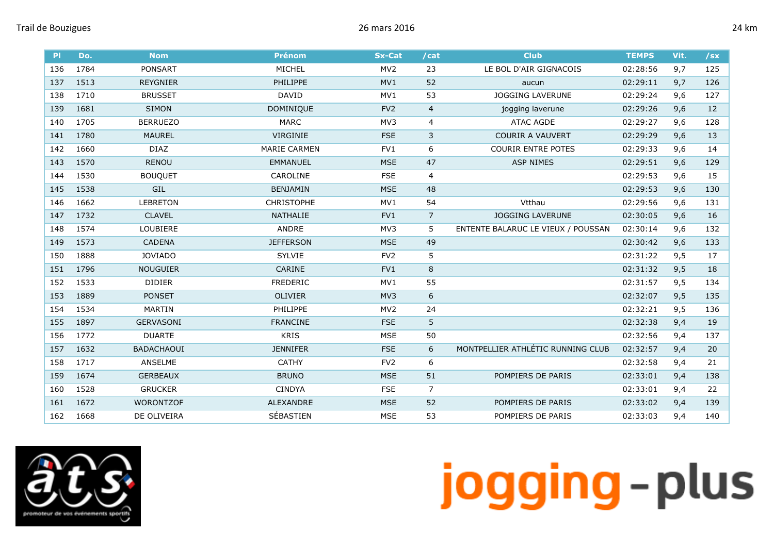| PI  | Do.  | <b>Nom</b>        | <b>Prénom</b>       | <b>Sx-Cat</b>   | /cat           | <b>Club</b>                        | <b>TEMPS</b> | Vit. | /sx |
|-----|------|-------------------|---------------------|-----------------|----------------|------------------------------------|--------------|------|-----|
| 136 | 1784 | <b>PONSART</b>    | MICHEL              | MV <sub>2</sub> | 23             | LE BOL D'AIR GIGNACOIS             | 02:28:56     | 9,7  | 125 |
| 137 | 1513 | <b>REYGNIER</b>   | <b>PHILIPPE</b>     | MV1             | 52             | aucun                              | 02:29:11     | 9,7  | 126 |
| 138 | 1710 | <b>BRUSSET</b>    | <b>DAVID</b>        | MV1             | 53             | <b>JOGGING LAVERUNE</b>            | 02:29:24     | 9,6  | 127 |
| 139 | 1681 | <b>SIMON</b>      | DOMINIQUE           | FV <sub>2</sub> | $\overline{4}$ | jogging laverune                   | 02:29:26     | 9,6  | 12  |
| 140 | 1705 | <b>BERRUEZO</b>   | <b>MARC</b>         | MV3             | 4              | <b>ATAC AGDE</b>                   | 02:29:27     | 9,6  | 128 |
| 141 | 1780 | <b>MAUREL</b>     | <b>VIRGINIE</b>     | <b>FSE</b>      | 3              | <b>COURIR A VAUVERT</b>            | 02:29:29     | 9,6  | 13  |
| 142 | 1660 | <b>DIAZ</b>       | <b>MARIE CARMEN</b> | FV1             | 6              | <b>COURIR ENTRE POTES</b>          | 02:29:33     | 9,6  | 14  |
| 143 | 1570 | <b>RENOU</b>      | <b>EMMANUEL</b>     | <b>MSE</b>      | 47             | <b>ASP NIMES</b>                   | 02:29:51     | 9,6  | 129 |
| 144 | 1530 | <b>BOUQUET</b>    | CAROLINE            | <b>FSE</b>      | 4              |                                    | 02:29:53     | 9,6  | 15  |
| 145 | 1538 | GIL               | BENJAMIN            | <b>MSE</b>      | 48             |                                    | 02:29:53     | 9,6  | 130 |
| 146 | 1662 | <b>LEBRETON</b>   | <b>CHRISTOPHE</b>   | MV1             | 54             | Vtthau                             | 02:29:56     | 9,6  | 131 |
| 147 | 1732 | <b>CLAVEL</b>     | <b>NATHALIE</b>     | FV1             | $\overline{7}$ | <b>JOGGING LAVERUNE</b>            | 02:30:05     | 9,6  | 16  |
| 148 | 1574 | LOUBIERE          | ANDRE               | MV3             | 5              | ENTENTE BALARUC LE VIEUX / POUSSAN | 02:30:14     | 9,6  | 132 |
| 149 | 1573 | <b>CADENA</b>     | <b>JEFFERSON</b>    | <b>MSE</b>      | 49             |                                    | 02:30:42     | 9,6  | 133 |
| 150 | 1888 | <b>JOVIADO</b>    | <b>SYLVIE</b>       | FV <sub>2</sub> | 5              |                                    | 02:31:22     | 9,5  | 17  |
| 151 | 1796 | <b>NOUGUIER</b>   | <b>CARINE</b>       | FV1             | 8              |                                    | 02:31:32     | 9,5  | 18  |
| 152 | 1533 | <b>DIDIER</b>     | <b>FREDERIC</b>     | MV1             | 55             |                                    | 02:31:57     | 9,5  | 134 |
| 153 | 1889 | <b>PONSET</b>     | <b>OLIVIER</b>      | MV3             | 6              |                                    | 02:32:07     | 9,5  | 135 |
| 154 | 1534 | <b>MARTIN</b>     | PHILIPPE            | MV <sub>2</sub> | 24             |                                    | 02:32:21     | 9,5  | 136 |
| 155 | 1897 | <b>GERVASONI</b>  | <b>FRANCINE</b>     | <b>FSE</b>      | 5              |                                    | 02:32:38     | 9,4  | 19  |
| 156 | 1772 | <b>DUARTE</b>     | <b>KRIS</b>         | <b>MSE</b>      | 50             |                                    | 02:32:56     | 9,4  | 137 |
| 157 | 1632 | <b>BADACHAOUI</b> | <b>JENNIFER</b>     | <b>FSE</b>      | 6              | MONTPELLIER ATHLÉTIC RUNNING CLUB  | 02:32:57     | 9,4  | 20  |
| 158 | 1717 | ANSELME           | <b>CATHY</b>        | FV <sub>2</sub> | 6              |                                    | 02:32:58     | 9,4  | 21  |
| 159 | 1674 | <b>GERBEAUX</b>   | <b>BRUNO</b>        | <b>MSE</b>      | 51             | POMPIERS DE PARIS                  | 02:33:01     | 9,4  | 138 |
| 160 | 1528 | <b>GRUCKER</b>    | <b>CINDYA</b>       | <b>FSE</b>      | $\overline{7}$ |                                    | 02:33:01     | 9,4  | 22  |
| 161 | 1672 | <b>WORONTZOF</b>  | <b>ALEXANDRE</b>    | <b>MSE</b>      | 52             | POMPIERS DE PARIS                  | 02:33:02     | 9,4  | 139 |
| 162 | 1668 | DE OLIVEIRA       | SÉBASTIEN           | <b>MSE</b>      | 53             | POMPIERS DE PARIS                  | 02:33:03     | 9,4  | 140 |

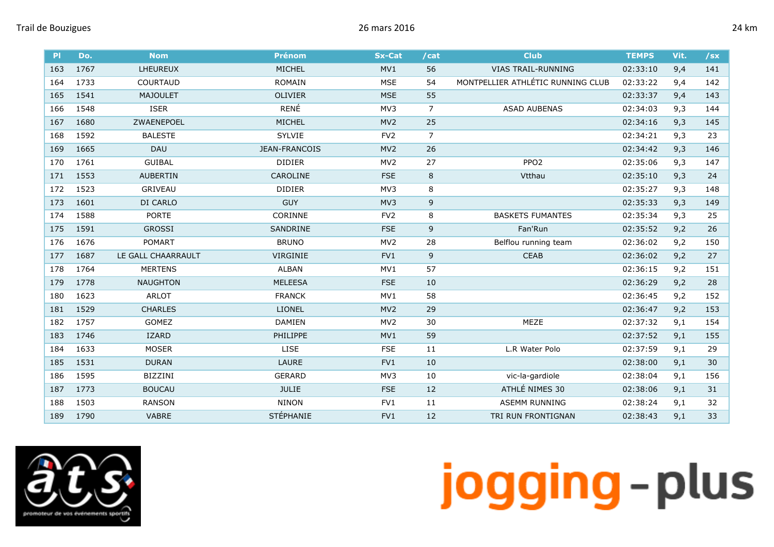| P   | Do.  | <b>Nom</b>         | <b>Prénom</b>   | <b>Sx-Cat</b>   | /cat           | <b>Club</b>                       | <b>TEMPS</b> | Vit. | $/$ sx |
|-----|------|--------------------|-----------------|-----------------|----------------|-----------------------------------|--------------|------|--------|
| 163 | 1767 | <b>LHEUREUX</b>    | MICHEL          | MV1             | 56             | <b>VIAS TRAIL-RUNNING</b>         | 02:33:10     | 9,4  | 141    |
| 164 | 1733 | COURTAUD           | <b>ROMAIN</b>   | <b>MSE</b>      | 54             | MONTPELLIER ATHLÉTIC RUNNING CLUB | 02:33:22     | 9,4  | 142    |
| 165 | 1541 | <b>MAJOULET</b>    | <b>OLIVIER</b>  | <b>MSE</b>      | 55             |                                   | 02:33:37     | 9,4  | 143    |
| 166 | 1548 | <b>ISER</b>        | RENÉ            | MV3             | $\overline{7}$ | <b>ASAD AUBENAS</b>               | 02:34:03     | 9,3  | 144    |
| 167 | 1680 | ZWAENEPOEL         | MICHEL          | MV <sub>2</sub> | 25             |                                   | 02:34:16     | 9,3  | 145    |
| 168 | 1592 | <b>BALESTE</b>     | <b>SYLVIE</b>   | FV <sub>2</sub> | $\overline{7}$ |                                   | 02:34:21     | 9,3  | 23     |
| 169 | 1665 | DAU                | JEAN-FRANCOIS   | MV <sub>2</sub> | 26             |                                   | 02:34:42     | 9,3  | 146    |
| 170 | 1761 | <b>GUIBAL</b>      | <b>DIDIER</b>   | MV <sub>2</sub> | 27             | PPO <sub>2</sub>                  | 02:35:06     | 9,3  | 147    |
| 171 | 1553 | <b>AUBERTIN</b>    | CAROLINE        | <b>FSE</b>      | 8              | Vtthau                            | 02:35:10     | 9,3  | 24     |
| 172 | 1523 | GRIVEAU            | <b>DIDIER</b>   | MV3             | 8              |                                   | 02:35:27     | 9,3  | 148    |
| 173 | 1601 | DI CARLO           | <b>GUY</b>      | MV3             | 9              |                                   | 02:35:33     | 9,3  | 149    |
| 174 | 1588 | <b>PORTE</b>       | CORINNE         | FV <sub>2</sub> | 8              | <b>BASKETS FUMANTES</b>           | 02:35:34     | 9,3  | 25     |
| 175 | 1591 | <b>GROSSI</b>      | SANDRINE        | <b>FSE</b>      | $\mathsf 9$    | Fan'Run                           | 02:35:52     | 9,2  | 26     |
| 176 | 1676 | <b>POMART</b>      | <b>BRUNO</b>    | MV <sub>2</sub> | 28             | Belflou running team              | 02:36:02     | 9,2  | 150    |
| 177 | 1687 | LE GALL CHAARRAULT | VIRGINIE        | FV1             | 9              | <b>CEAB</b>                       | 02:36:02     | 9,2  | 27     |
| 178 | 1764 | <b>MERTENS</b>     | ALBAN           | MV1             | 57             |                                   | 02:36:15     | 9,2  | 151    |
| 179 | 1778 | <b>NAUGHTON</b>    | <b>MELEESA</b>  | <b>FSE</b>      | 10             |                                   | 02:36:29     | 9,2  | 28     |
| 180 | 1623 | <b>ARLOT</b>       | <b>FRANCK</b>   | MV1             | 58             |                                   | 02:36:45     | 9,2  | 152    |
| 181 | 1529 | <b>CHARLES</b>     | <b>LIONEL</b>   | MV <sub>2</sub> | 29             |                                   | 02:36:47     | 9,2  | 153    |
| 182 | 1757 | GOMEZ              | <b>DAMIEN</b>   | MV <sub>2</sub> | 30             | MEZE                              | 02:37:32     | 9,1  | 154    |
| 183 | 1746 | <b>IZARD</b>       | <b>PHILIPPE</b> | MV1             | 59             |                                   | 02:37:52     | 9,1  | 155    |
| 184 | 1633 | <b>MOSER</b>       | LISE            | <b>FSE</b>      | 11             | L.R Water Polo                    | 02:37:59     | 9,1  | 29     |
| 185 | 1531 | <b>DURAN</b>       | LAURE           | FV1             | 10             |                                   | 02:38:00     | 9,1  | 30     |
| 186 | 1595 | BIZZINI            | <b>GERARD</b>   | MV3             | 10             | vic-la-gardiole                   | 02:38:04     | 9,1  | 156    |
| 187 | 1773 | <b>BOUCAU</b>      | <b>JULIE</b>    | <b>FSE</b>      | 12             | ATHLÉ NIMES 30                    | 02:38:06     | 9,1  | 31     |
| 188 | 1503 | <b>RANSON</b>      | <b>NINON</b>    | FV1             | 11             | <b>ASEMM RUNNING</b>              | 02:38:24     | 9,1  | 32     |
| 189 | 1790 | <b>VABRE</b>       | STÉPHANIE       | FV1             | 12             | TRI RUN FRONTIGNAN                | 02:38:43     | 9,1  | 33     |

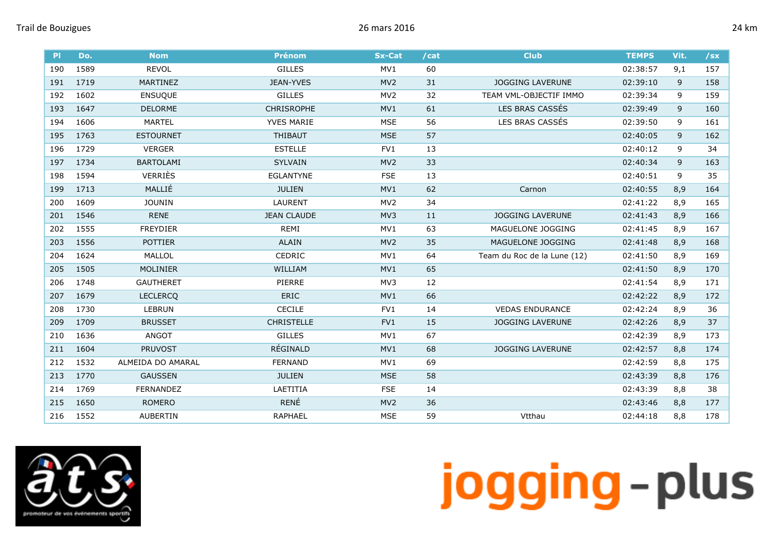| .T<br>ш |
|---------|
|---------|

| P   | Do.  | <b>Nom</b>        | <b>Prénom</b>      | <b>Sx-Cat</b>   | /cat | <b>Club</b>                 | <b>TEMPS</b> | Vit. | $\sqrt{sx}$ |
|-----|------|-------------------|--------------------|-----------------|------|-----------------------------|--------------|------|-------------|
| 190 | 1589 | <b>REVOL</b>      | <b>GILLES</b>      | MV1             | 60   |                             | 02:38:57     | 9,1  | 157         |
| 191 | 1719 | <b>MARTINEZ</b>   | <b>JEAN-YVES</b>   | MV <sub>2</sub> | 31   | <b>JOGGING LAVERUNE</b>     | 02:39:10     | 9    | 158         |
| 192 | 1602 | <b>ENSUQUE</b>    | <b>GILLES</b>      | MV <sub>2</sub> | 32   | TEAM VML-OBJECTIF IMMO      | 02:39:34     | 9    | 159         |
| 193 | 1647 | <b>DELORME</b>    | <b>CHRISROPHE</b>  | MV1             | 61   | LES BRAS CASSÉS             | 02:39:49     | 9    | 160         |
| 194 | 1606 | <b>MARTEL</b>     | YVES MARIE         | <b>MSE</b>      | 56   | LES BRAS CASSÉS             | 02:39:50     | 9    | 161         |
| 195 | 1763 | <b>ESTOURNET</b>  | <b>THIBAUT</b>     | <b>MSE</b>      | 57   |                             | 02:40:05     | 9    | 162         |
| 196 | 1729 | <b>VERGER</b>     | <b>ESTELLE</b>     | FV1             | 13   |                             | 02:40:12     | 9    | 34          |
| 197 | 1734 | <b>BARTOLAMI</b>  | <b>SYLVAIN</b>     | MV <sub>2</sub> | 33   |                             | 02:40:34     | 9    | 163         |
| 198 | 1594 | <b>VERRIÈS</b>    | <b>EGLANTYNE</b>   | <b>FSE</b>      | 13   |                             | 02:40:51     | 9    | 35          |
| 199 | 1713 | MALLIÉ            | <b>JULIEN</b>      | MV1             | 62   | Carnon                      | 02:40:55     | 8,9  | 164         |
| 200 | 1609 | <b>JOUNIN</b>     | <b>LAURENT</b>     | MV <sub>2</sub> | 34   |                             | 02:41:22     | 8,9  | 165         |
| 201 | 1546 | <b>RENE</b>       | <b>JEAN CLAUDE</b> | MV <sub>3</sub> | 11   | <b>JOGGING LAVERUNE</b>     | 02:41:43     | 8,9  | 166         |
| 202 | 1555 | <b>FREYDIER</b>   | <b>REMI</b>        | MV1             | 63   | MAGUELONE JOGGING           | 02:41:45     | 8,9  | 167         |
| 203 | 1556 | <b>POTTIER</b>    | <b>ALAIN</b>       | MV <sub>2</sub> | 35   | MAGUELONE JOGGING           | 02:41:48     | 8,9  | 168         |
| 204 | 1624 | MALLOL            | <b>CEDRIC</b>      | MV1             | 64   | Team du Roc de la Lune (12) | 02:41:50     | 8,9  | 169         |
| 205 | 1505 | <b>MOLINIER</b>   | WILLIAM            | MV1             | 65   |                             | 02:41:50     | 8,9  | 170         |
| 206 | 1748 | <b>GAUTHERET</b>  | PIERRE             | MV3             | 12   |                             | 02:41:54     | 8,9  | 171         |
| 207 | 1679 | <b>LECLERCO</b>   | <b>ERIC</b>        | MV1             | 66   |                             | 02:42:22     | 8,9  | 172         |
| 208 | 1730 | <b>LEBRUN</b>     | <b>CECILE</b>      | FV1             | 14   | <b>VEDAS ENDURANCE</b>      | 02:42:24     | 8,9  | 36          |
| 209 | 1709 | <b>BRUSSET</b>    | <b>CHRISTELLE</b>  | FV1             | 15   | <b>JOGGING LAVERUNE</b>     | 02:42:26     | 8,9  | 37          |
| 210 | 1636 | <b>ANGOT</b>      | <b>GILLES</b>      | MV1             | 67   |                             | 02:42:39     | 8,9  | 173         |
| 211 | 1604 | <b>PRUVOST</b>    | RÉGINALD           | MV1             | 68   | <b>JOGGING LAVERUNE</b>     | 02:42:57     | 8,8  | 174         |
| 212 | 1532 | ALMEIDA DO AMARAL | <b>FERNAND</b>     | MV1             | 69   |                             | 02:42:59     | 8,8  | 175         |
| 213 | 1770 | <b>GAUSSEN</b>    | <b>JULIEN</b>      | <b>MSE</b>      | 58   |                             | 02:43:39     | 8,8  | 176         |
| 214 | 1769 | <b>FERNANDEZ</b>  | LAETITIA           | <b>FSE</b>      | 14   |                             | 02:43:39     | 8,8  | 38          |
| 215 | 1650 | <b>ROMERO</b>     | RENÉ               | MV <sub>2</sub> | 36   |                             | 02:43:46     | 8,8  | 177         |
| 216 | 1552 | <b>AUBERTIN</b>   | <b>RAPHAEL</b>     | <b>MSE</b>      | 59   | Vtthau                      | 02:44:18     | 8,8  | 178         |

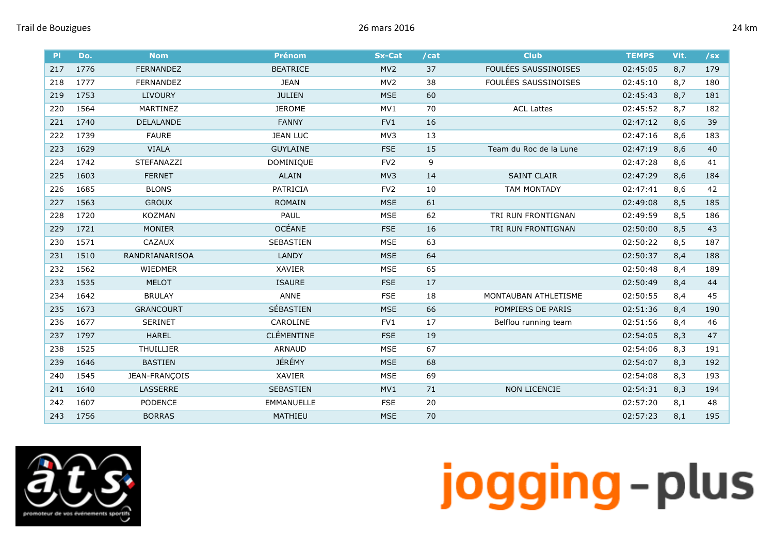| κm<br>۱ |
|---------|
|         |

| P   | Do.  | <b>Nom</b>       | <b>Prénom</b>     | <b>Sx-Cat</b>   | /cat | <b>Club</b>            | <b>TEMPS</b> | Vit. | /sx |
|-----|------|------------------|-------------------|-----------------|------|------------------------|--------------|------|-----|
| 217 | 1776 | <b>FERNANDEZ</b> | <b>BEATRICE</b>   | MV <sub>2</sub> | 37   | FOULÉES SAUSSINOISES   | 02:45:05     | 8,7  | 179 |
| 218 | 1777 | <b>FERNANDEZ</b> | <b>JEAN</b>       | MV <sub>2</sub> | 38   | FOULÉES SAUSSINOISES   | 02:45:10     | 8,7  | 180 |
| 219 | 1753 | <b>LIVOURY</b>   | <b>JULIEN</b>     | <b>MSE</b>      | 60   |                        | 02:45:43     | 8,7  | 181 |
| 220 | 1564 | MARTINEZ         | <b>JEROME</b>     | MV1             | 70   | <b>ACL Lattes</b>      | 02:45:52     | 8,7  | 182 |
| 221 | 1740 | DELALANDE        | <b>FANNY</b>      | FV1             | 16   |                        | 02:47:12     | 8,6  | 39  |
| 222 | 1739 | <b>FAURE</b>     | <b>JEAN LUC</b>   | MV3             | 13   |                        | 02:47:16     | 8,6  | 183 |
| 223 | 1629 | <b>VIALA</b>     | <b>GUYLAINE</b>   | <b>FSE</b>      | 15   | Team du Roc de la Lune | 02:47:19     | 8,6  | 40  |
| 224 | 1742 | STEFANAZZI       | <b>DOMINIQUE</b>  | FV <sub>2</sub> | 9    |                        | 02:47:28     | 8,6  | 41  |
| 225 | 1603 | <b>FERNET</b>    | <b>ALAIN</b>      | MV3             | 14   | <b>SAINT CLAIR</b>     | 02:47:29     | 8,6  | 184 |
| 226 | 1685 | <b>BLONS</b>     | PATRICIA          | FV <sub>2</sub> | 10   | <b>TAM MONTADY</b>     | 02:47:41     | 8,6  | 42  |
| 227 | 1563 | <b>GROUX</b>     | <b>ROMAIN</b>     | <b>MSE</b>      | 61   |                        | 02:49:08     | 8,5  | 185 |
| 228 | 1720 | <b>KOZMAN</b>    | PAUL              | <b>MSE</b>      | 62   | TRI RUN FRONTIGNAN     | 02:49:59     | 8,5  | 186 |
| 229 | 1721 | <b>MONIER</b>    | <b>OCÉANE</b>     | <b>FSE</b>      | 16   | TRI RUN FRONTIGNAN     | 02:50:00     | 8,5  | 43  |
| 230 | 1571 | CAZAUX           | <b>SEBASTIEN</b>  | <b>MSE</b>      | 63   |                        | 02:50:22     | 8,5  | 187 |
| 231 | 1510 | RANDRIANARISOA   | <b>LANDY</b>      | <b>MSE</b>      | 64   |                        | 02:50:37     | 8,4  | 188 |
| 232 | 1562 | WIEDMER          | <b>XAVIER</b>     | <b>MSE</b>      | 65   |                        | 02:50:48     | 8,4  | 189 |
| 233 | 1535 | <b>MELOT</b>     | <b>ISAURE</b>     | <b>FSE</b>      | 17   |                        | 02:50:49     | 8,4  | 44  |
| 234 | 1642 | <b>BRULAY</b>    | ANNE              | <b>FSE</b>      | 18   | MONTAUBAN ATHLETISME   | 02:50:55     | 8,4  | 45  |
| 235 | 1673 | <b>GRANCOURT</b> | SÉBASTIEN         | <b>MSE</b>      | 66   | POMPIERS DE PARIS      | 02:51:36     | 8,4  | 190 |
| 236 | 1677 | <b>SERINET</b>   | CAROLINE          | FV1             | 17   | Belflou running team   | 02:51:56     | 8,4  | 46  |
| 237 | 1797 | <b>HAREL</b>     | <b>CLÉMENTINE</b> | <b>FSE</b>      | 19   |                        | 02:54:05     | 8,3  | 47  |
| 238 | 1525 | <b>THUILLIER</b> | <b>ARNAUD</b>     | <b>MSE</b>      | 67   |                        | 02:54:06     | 8,3  | 191 |
| 239 | 1646 | <b>BASTIEN</b>   | JÉRÉMY            | <b>MSE</b>      | 68   |                        | 02:54:07     | 8,3  | 192 |
| 240 | 1545 | JEAN-FRANÇOIS    | XAVIER            | <b>MSE</b>      | 69   |                        | 02:54:08     | 8,3  | 193 |
| 241 | 1640 | LASSERRE         | SEBASTIEN         | MV1             | 71   | <b>NON LICENCIE</b>    | 02:54:31     | 8,3  | 194 |
| 242 | 1607 | <b>PODENCE</b>   | <b>EMMANUELLE</b> | <b>FSE</b>      | 20   |                        | 02:57:20     | 8,1  | 48  |
| 243 | 1756 | <b>BORRAS</b>    | MATHIEU           | <b>MSE</b>      | 70   |                        | 02:57:23     | 8,1  | 195 |

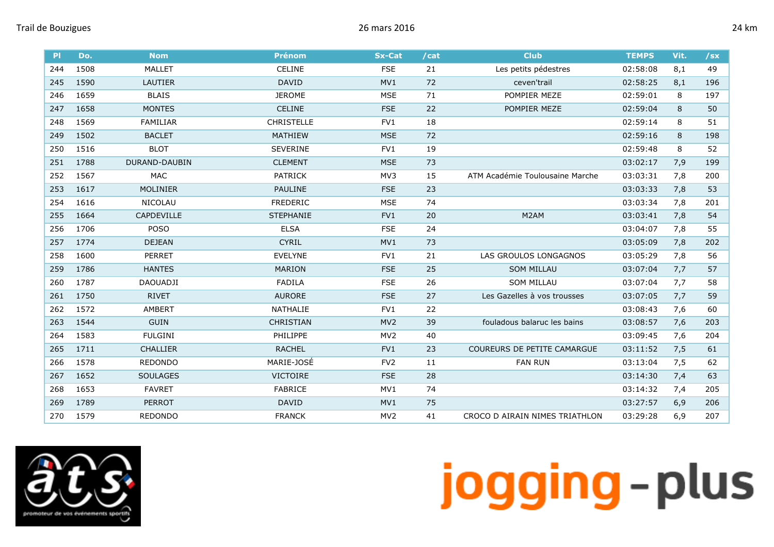| .T<br>ш |
|---------|
|---------|

| PI  | Do.  | <b>Nom</b>      | <b>Prénom</b>     | <b>Sx-Cat</b>   | /cat | <b>Club</b>                     | <b>TEMPS</b> | Vit. | $/$ sx |
|-----|------|-----------------|-------------------|-----------------|------|---------------------------------|--------------|------|--------|
| 244 | 1508 | <b>MALLET</b>   | <b>CELINE</b>     | <b>FSE</b>      | 21   | Les petits pédestres            | 02:58:08     | 8,1  | 49     |
| 245 | 1590 | LAUTIER         | <b>DAVID</b>      | MV1             | 72   | ceven'trail                     | 02:58:25     | 8,1  | 196    |
| 246 | 1659 | <b>BLAIS</b>    | <b>JEROME</b>     | <b>MSE</b>      | 71   | POMPIER MEZE                    | 02:59:01     | 8    | 197    |
| 247 | 1658 | <b>MONTES</b>   | <b>CELINE</b>     | <b>FSE</b>      | 22   | POMPIER MEZE                    | 02:59:04     | 8    | 50     |
| 248 | 1569 | <b>FAMILIAR</b> | <b>CHRISTELLE</b> | FV1             | 18   |                                 | 02:59:14     | 8    | 51     |
| 249 | 1502 | <b>BACLET</b>   | <b>MATHIEW</b>    | <b>MSE</b>      | 72   |                                 | 02:59:16     | 8    | 198    |
| 250 | 1516 | <b>BLOT</b>     | <b>SEVERINE</b>   | FV1             | 19   |                                 | 02:59:48     | 8    | 52     |
| 251 | 1788 | DURAND-DAUBIN   | <b>CLEMENT</b>    | <b>MSE</b>      | 73   |                                 | 03:02:17     | 7,9  | 199    |
| 252 | 1567 | <b>MAC</b>      | PATRICK           | MV3             | 15   | ATM Académie Toulousaine Marche | 03:03:31     | 7,8  | 200    |
| 253 | 1617 | MOLINIER        | <b>PAULINE</b>    | <b>FSE</b>      | 23   |                                 | 03:03:33     | 7,8  | 53     |
| 254 | 1616 | <b>NICOLAU</b>  | <b>FREDERIC</b>   | <b>MSE</b>      | 74   |                                 | 03:03:34     | 7,8  | 201    |
| 255 | 1664 | CAPDEVILLE      | <b>STEPHANIE</b>  | FV1             | 20   | M <sub>2</sub> AM               | 03:03:41     | 7,8  | 54     |
| 256 | 1706 | <b>POSO</b>     | <b>ELSA</b>       | <b>FSE</b>      | 24   |                                 | 03:04:07     | 7,8  | 55     |
| 257 | 1774 | <b>DEJEAN</b>   | <b>CYRIL</b>      | MV1             | 73   |                                 | 03:05:09     | 7,8  | 202    |
| 258 | 1600 | <b>PERRET</b>   | <b>EVELYNE</b>    | FV1             | 21   | LAS GROULOS LONGAGNOS           | 03:05:29     | 7,8  | 56     |
| 259 | 1786 | <b>HANTES</b>   | <b>MARION</b>     | <b>FSE</b>      | 25   | <b>SOM MILLAU</b>               | 03:07:04     | 7,7  | 57     |
| 260 | 1787 | <b>DAOUADJI</b> | <b>FADILA</b>     | <b>FSE</b>      | 26   | <b>SOM MILLAU</b>               | 03:07:04     | 7,7  | 58     |
| 261 | 1750 | <b>RIVET</b>    | <b>AURORE</b>     | <b>FSE</b>      | 27   | Les Gazelles à vos trousses     | 03:07:05     | 7,7  | 59     |
| 262 | 1572 | AMBERT          | NATHALIE          | FV1             | 22   |                                 | 03:08:43     | 7,6  | 60     |
| 263 | 1544 | <b>GUIN</b>     | <b>CHRISTIAN</b>  | MV <sub>2</sub> | 39   | fouladous balaruc les bains     | 03:08:57     | 7,6  | 203    |
| 264 | 1583 | <b>FULGINI</b>  | PHILIPPE          | MV <sub>2</sub> | 40   |                                 | 03:09:45     | 7,6  | 204    |
| 265 | 1711 | <b>CHALLIER</b> | <b>RACHEL</b>     | FV1             | 23   | COUREURS DE PETITE CAMARGUE     | 03:11:52     | 7,5  | 61     |
| 266 | 1578 | <b>REDONDO</b>  | MARIE-JOSÉ        | FV <sub>2</sub> | 11   | <b>FAN RUN</b>                  | 03:13:04     | 7,5  | 62     |
| 267 | 1652 | <b>SOULAGES</b> | <b>VICTOIRE</b>   | <b>FSE</b>      | 28   |                                 | 03:14:30     | 7,4  | 63     |
| 268 | 1653 | <b>FAVRET</b>   | <b>FABRICE</b>    | MV1             | 74   |                                 | 03:14:32     | 7,4  | 205    |
| 269 | 1789 | <b>PERROT</b>   | <b>DAVID</b>      | MV1             | 75   |                                 | 03:27:57     | 6,9  | 206    |
| 270 | 1579 | <b>REDONDO</b>  | <b>FRANCK</b>     | MV <sub>2</sub> | 41   | CROCO D AIRAIN NIMES TRIATHLON  | 03:29:28     | 6,9  | 207    |